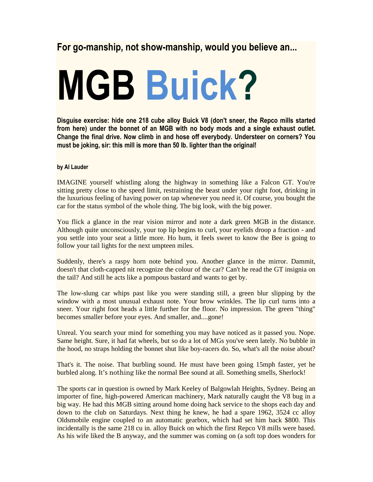## For go-manship, not show-manship, would you believe an...

## MGB Buick?

Disguise exercise: hide one 218 cube alloy Buick V8 (don't sneer, the Repco mills started from here) under the bonnet of an MGB with no body mods and a single exhaust outlet. Change the final drive. Now climb in and hose off everybody. Understeer on corners? You must be joking, sir: this mill is more than 50 lb. lighter than the original!

## by Al Lauder

IMAGINE yourself whistling along the highway in something like a Falcon GT. You're sitting pretty close to the speed limit, restraining the beast under your right foot, drinking in the luxurious feeling of having power on tap whenever you need it. Of course, you bought the car for the status symbol of the whole thing. The big look, with the big power.

You flick a glance in the rear vision mirror and note a dark green MGB in the distance. Although quite unconsciously, your top lip begins to curl, your eyelids droop a fraction - and you settle into your seat a little more. Ho hum, it feels sweet to know the Bee is going to follow your tail lights for the next umpteen miles.

Suddenly, there's a raspy horn note behind you. Another glance in the mirror. Dammit, doesn't that cloth-capped nit recognize the colour of the car? Can't he read the GT insignia on the tail? And still he acts like a pompous bastard and wants to get by.

The low-slung car whips past like you were standing still, a green blur slipping by the window with a most unusual exhaust note. Your brow wrinkles. The lip curl turns into a sneer. Your right foot heads a little further for the floor. No impression. The green "thing" becomes smaller before your eyes. And smaller, and....gone!

Unreal. You search your mind for something you may have noticed as it passed you. Nope. Same height. Sure, it had fat wheels, but so do a lot of MGs you've seen lately. No bubble in the hood, no straps holding the bonnet shut like boy-racers do. So, what's all the noise about?

That's it. The noise. That burbling sound. He must have been going 15mph faster, yet he burbled along. It's nothing like the normal Bee sound at all. Something smells, Sherlock!

The sports car in question is owned by Mark Keeley of Balgowlah Heights, Sydney. Being an importer of fine, high-powered American machinery, Mark naturally caught the V8 bug in a big way. He had this MGB sitting around home doing hack service to the shops each day and down to the club on Saturdays. Next thing he knew, he had a spare 1962, 3524 cc alloy Oldsmobile engine coupled to an automatic gearbox, which had set him back \$800. This incidentally is the same 218 cu in. alloy Buick on which the first Repco V8 mills were based. As his wife liked the B anyway, and the summer was coming on (a soft top does wonders for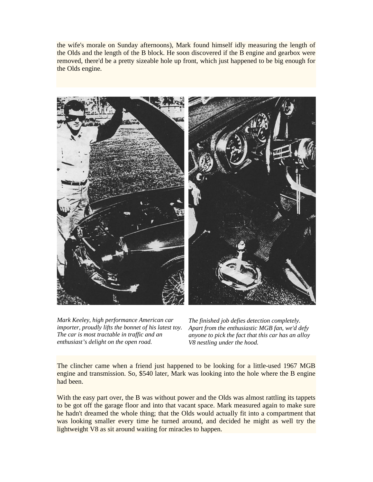the wife's morale on Sunday afternoons), Mark found himself idly measuring the length of the Olds and the length of the B block. He soon discovered if the B engine and gearbox were removed, there'd be a pretty sizeable hole up front, which just happened to be big enough for the Olds engine.



*Mark Keeley, high performance American car importer, proudly lifts the bonnet of his latest toy. The car is most tractable in traffic and an enthusiast's delight on the open road.*

*The finished job defies detection completely. Apart from the enthusiastic MGB fan, we'd defy anyone to pick the fact that this car has an alloy V8 nestling under the hood.*

The clincher came when a friend just happened to be looking for a little-used 1967 MGB engine and transmission. So, \$540 later, Mark was looking into the hole where the B engine had been.

With the easy part over, the B was without power and the Olds was almost rattling its tappets to be got off the garage floor and into that vacant space. Mark measured again to make sure he hadn't dreamed the whole thing; that the Olds would actually fit into a compartment that was looking smaller every time he turned around, and decided he might as well try the lightweight V8 as sit around waiting for miracles to happen.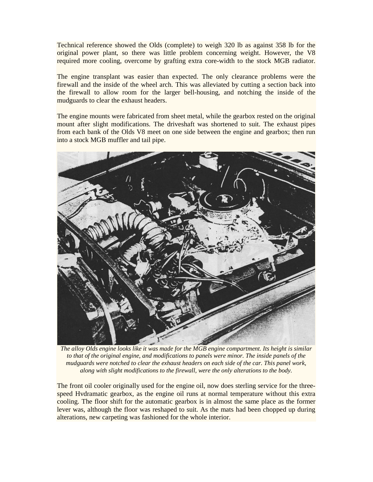Technical reference showed the Olds (complete) to weigh 320 lb as against 358 lb for the original power plant, so there was little problem concerning weight. However, the V8 required more cooling, overcome by grafting extra core-width to the stock MGB radiator.

The engine transplant was easier than expected. The only clearance problems were the firewall and the inside of the wheel arch. This was alleviated by cutting a section back into the firewall to allow room for the larger bell-housing, and notching the inside of the mudguards to clear the exhaust headers.

The engine mounts were fabricated from sheet metal, while the gearbox rested on the original mount after slight modifications. The driveshaft was shortened to suit. The exhaust pipes from each bank of the Olds V8 meet on one side between the engine and gearbox; then run into a stock MGB muffler and tail pipe.



*The alloy Olds engine looks like it was made for the MGB engine compartment. Its height is similar to that of the original engine, and modifications to panels were minor. The inside panels of the mudguards were notched to clear the exhaust headers on each side of the car. This panel work, along with slight modifications to the firewall, were the only alterations to the body.* 

The front oil cooler originally used for the engine oil, now does sterling service for the threespeed Hvdramatic gearbox, as the engine oil runs at normal temperature without this extra cooling. The floor shift for the automatic gearbox is in almost the same place as the former lever was, although the floor was reshaped to suit. As the mats had been chopped up during alterations, new carpeting was fashioned for the whole interior.